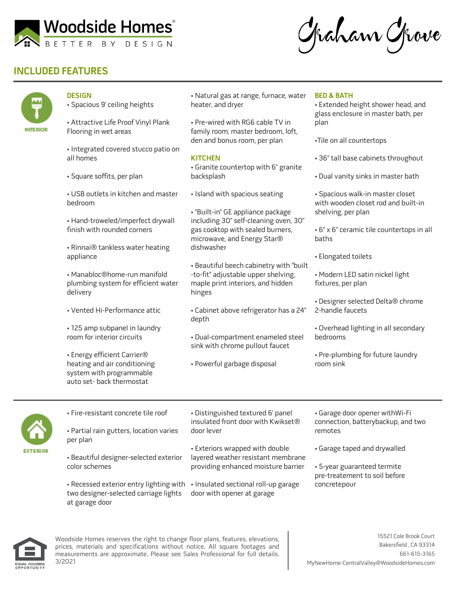

Graham Grove

## **INCLUDED FEATURES**



- **DESIGN**
- Spacious 9' ceiling heights

• Attractive Life Proof Vinyl Plank Flooring in wet areas

• Integrated covered stucco patio on all homes

• Square soffits, per plan

• USB outlets in kitchen and master bedroom

• Hand-troweled/imperfect drywall finish with rounded corners

• Rinnai® tankless water heating appliance

• Manabloc®home-run manifold plumbing system for efficient water delivery

- Vented Hi-Performance attic
- 125 amp subpanel in laundry room for interior circuits

• Energy efficient Carrier® heating and air conditioning system with programmable auto set- back thermostat

• Natural gas at range, furnace, water heater, and dryer

• Pre-wired with RG6 cable TV in family room, master bedroom, loft, den and bonus room, per plan

## **KITCHEN**

• Granite countertop with 6" granite backsplash

• Island with spacious seating

• "Built-in" GE appliance package including 30" self-cleaning oven, 30" gas cooktop with sealed burners, microwave, and Energy Star® dishwasher

• Beautiful beech cabinetry with "built -to-fit" adjustable upper shelving, maple print interiors, and hidden hinges

• Cabinet above refrigerator has a 24" depth

• Dual-compartment enameled steel sink with chrome pullout faucet

• Powerful garbage disposal

## **BED & BATH**

• Extended height shower head, and glass enclosure in master bath, per plan

•Tile on all countertops

- 36" tall base cabinets throughout
- Dual vanity sinks in master bath

• Spacious walk-in master closet with wooden closet rod and built-in shelving, per plan

• 6" x 6" ceramic tile countertops in all baths

- Elongated toilets
- Modern LED satin nickel light fixtures, per plan
- Designer selected Delta® chrome 2-handle faucets
- Overhead lighting in all secondary bedrooms
- Pre-plumbing for future laundry room sink



• Fire-resistant concrete tile roof • Partial rain gutters, location varies

per plan

• Beautiful designer-selected exterior color schemes

• Recessed exterior entry lighting with • Insulated sectional roll-up garage two designer-selected carriage lights at garage door

• Distinguished textured 6' panel insulated front door with Kwikset® door lever

• Exteriors wrapped with double layered weather resistant membrane providing enhanced moisture barrier

door with opener at garage

• Garage door opener withWi-Fi connection, batterybackup, and two remotes

• Garage taped and drywalled

• 5-year guaranteed termite pre-treatement to soil before concretepour



Woodside Homes reserves the right to change floor plans, features, elevations, prices, materials and specifications without notice. All square footages and measurements are approximate. Please see Sales Professional for full details. 3/2021